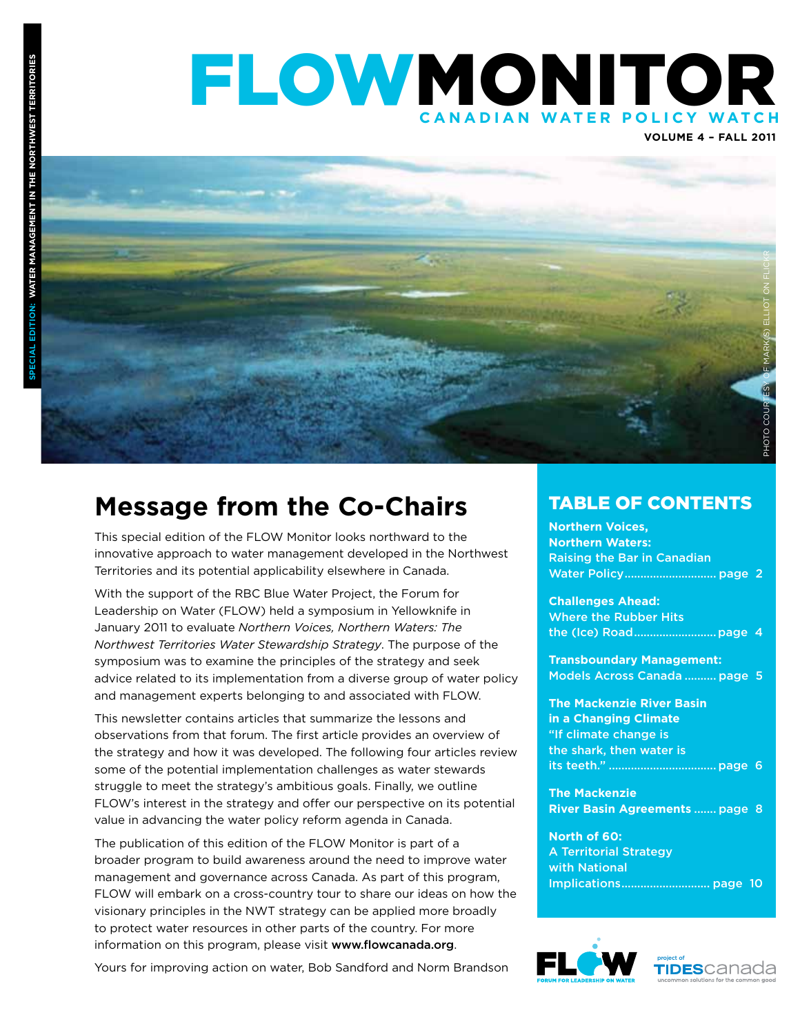### FLOWMONITOR **CANADIAN WATER POLICY WA o**<br>
<br>
<br>
<br>
<br>
<br>
<br>
<br><br><br><br><br><br><br>

**Volume 4 – FALL 2011**



### **Message from the Co-Chairs**

This special edition of the FLOW Monitor looks northward to the innovative approach to water management developed in the Northwest Territories and its potential applicability elsewhere in Canada.

With the support of the RBC Blue Water Project, the Forum for Leadership on Water (FLOW) held a symposium in Yellowknife in January 2011 to evaluate *Northern Voices, Northern Waters: The Northwest Territories Water Stewardship Strategy*. The purpose of the symposium was to examine the principles of the strategy and seek advice related to its implementation from a diverse group of water policy and management experts belonging to and associated with FLOW.

This newsletter contains articles that summarize the lessons and observations from that forum. The first article provides an overview of the strategy and how it was developed. The following four articles review some of the potential implementation challenges as water stewards struggle to meet the strategy's ambitious goals. Finally, we outline FLOW's interest in the strategy and offer our perspective on its potential value in advancing the water policy reform agenda in Canada.

The publication of this edition of the FLOW Monitor is part of a broader program to build awareness around the need to improve water management and governance across Canada. As part of this program, FLOW will embark on a cross-country tour to share our ideas on how the visionary principles in the NWT strategy can be applied more broadly to protect water resources in other parts of the country. For more information on this program, please visit www.flowcanada.org.

Yours for improving action on water, Bob Sandford and Norm Brandson

#### TABLE OF CONTENTS

**Northern Voices, Northern Waters:**  Raising the Bar in Canadian Water Policy............................. page 2

**Challenges Ahead:**  Where the Rubber Hits the (Ice) Road..........................page 4

**Transboundary Management:**  Models Across Canada .......... page 5

**The Mackenzie River Basin in a Changing Climate** "If climate change is the shark, then water is its teeth." .................................. page 6

**The Mackenzie River Basin Agreements** ....... page 8

**North of 60:**  A Territorial Strategy with National Implications............................ page 10



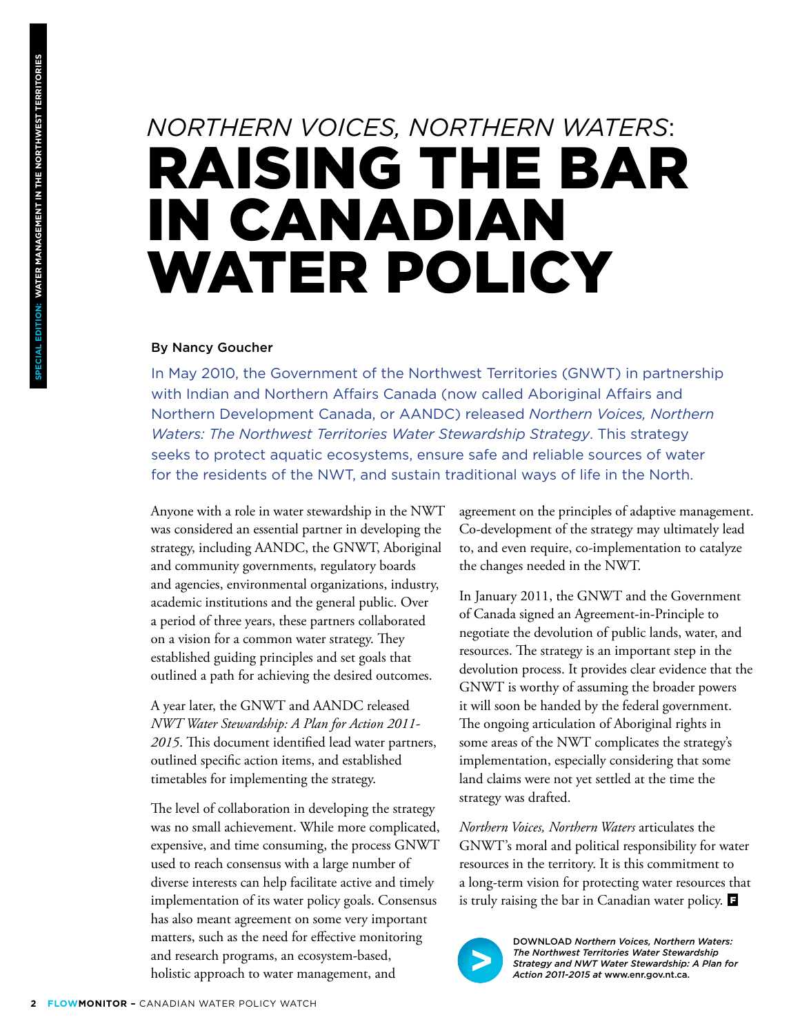## *Northern Voices, Northern Waters*: Raising the Bar in Canadian WATER POLICY

#### By Nancy Goucher

In May 2010, the Government of the Northwest Territories (GNWT) in partnership with Indian and Northern Affairs Canada (now called Aboriginal Affairs and Northern Development Canada, or AANDC) released *Northern Voices, Northern Waters: The Northwest Territories Water Stewardship Strategy*. This strategy seeks to protect aquatic ecosystems, ensure safe and reliable sources of water for the residents of the NWT, and sustain traditional ways of life in the North.

Anyone with a role in water stewardship in the NWT was considered an essential partner in developing the strategy, including AANDC, the GNWT, Aboriginal and community governments, regulatory boards and agencies, environmental organizations, industry, academic institutions and the general public. Over a period of three years, these partners collaborated on a vision for a common water strategy. They established guiding principles and set goals that outlined a path for achieving the desired outcomes.

A year later, the GNWT and AANDC released *NWT Water Stewardship: A Plan for Action 2011- 2015*. This document identified lead water partners, outlined specific action items, and established timetables for implementing the strategy.

The level of collaboration in developing the strategy was no small achievement. While more complicated, expensive, and time consuming, the process GNWT used to reach consensus with a large number of diverse interests can help facilitate active and timely implementation of its water policy goals. Consensus has also meant agreement on some very important matters, such as the need for effective monitoring and research programs, an ecosystem-based, holistic approach to water management, and

agreement on the principles of adaptive management. Co-development of the strategy may ultimately lead to, and even require, co-implementation to catalyze the changes needed in the NWT.

In January 2011, the GNWT and the Government of Canada signed an Agreement-in-Principle to negotiate the devolution of public lands, water, and resources. The strategy is an important step in the devolution process. It provides clear evidence that the GNWT is worthy of assuming the broader powers it will soon be handed by the federal government. The ongoing articulation of Aboriginal rights in some areas of the NWT complicates the strategy's implementation, especially considering that some land claims were not yet settled at the time the strategy was drafted.

*Northern Voices, Northern Waters* articulates the GNWT's moral and political responsibility for water resources in the territory. It is this commitment to a long-term vision for protecting water resources that is truly raising the bar in Canadian water policy.



DOWNLOAD *Northern Voices, Northern Waters: The Northwest Territories Water Stewardship Strategy and NWT Water Stewardship: A Plan for Action 2011-2015 at* www.enr.gov.nt.ca.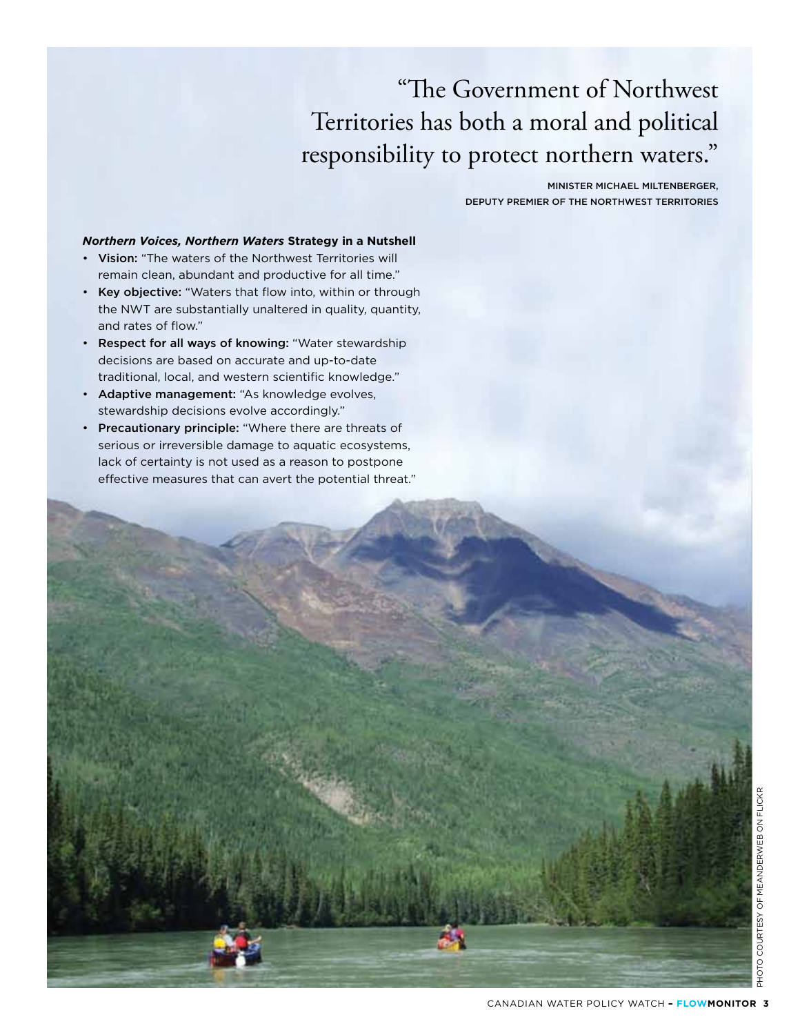## "The Government of Northwest Territories has both a moral and political responsibility to protect northern waters."

MINISTER MICHAEL MILTENBERGER, DEPUTY PREMIER OF THE NORTHWEST TERRITORIES

#### *Northern Voices, Northern Waters* **Strategy in a Nutshell**

- Vision: "The waters of the Northwest Territories will remain clean, abundant and productive for all time."
- Key objective: "Waters that flow into, within or through the NWT are substantially unaltered in quality, quantity, and rates of flow."
- Respect for all ways of knowing: "Water stewardship decisions are based on accurate and up-to-date traditional, local, and western scientific knowledge."
- Adaptive management: "As knowledge evolves, stewardship decisions evolve accordingly."
- Precautionary principle: "Where there are threats of serious or irreversible damage to aquatic ecosystems, lack of certainty is not used as a reason to postpone effective measures that can avert the potential threat."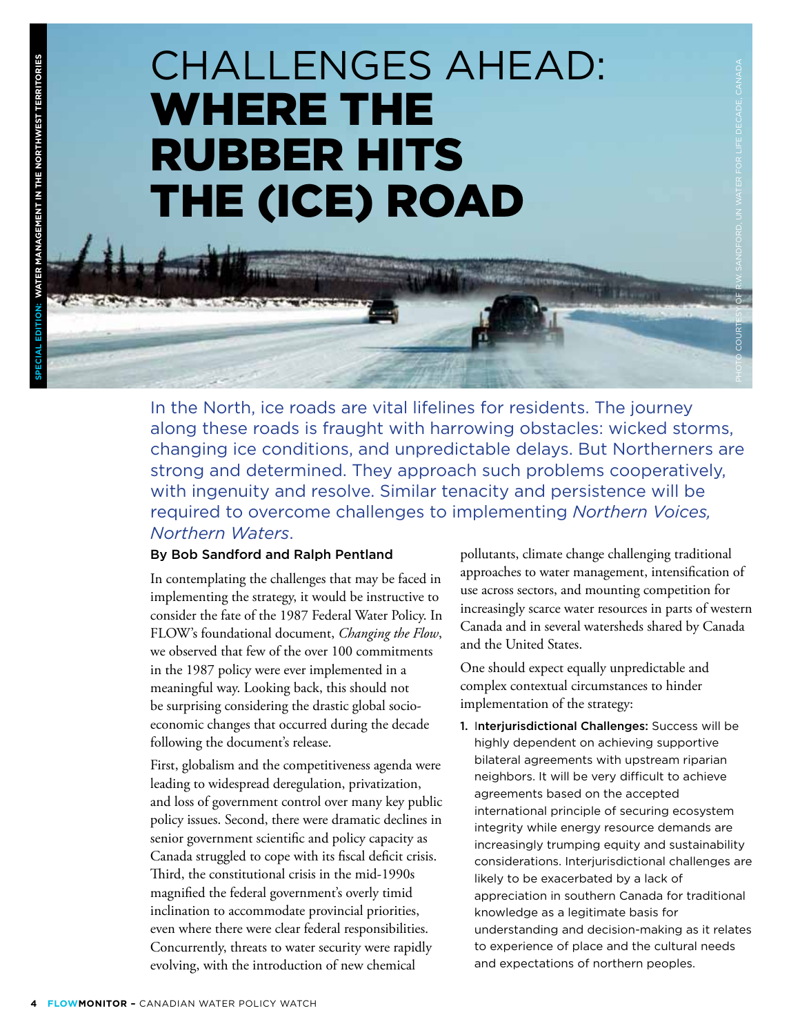# Challenges Ahead: Where the Rubber Hits the (Ice) Road

In the North, ice roads are vital lifelines for residents. The journey along these roads is fraught with harrowing obstacles: wicked storms, changing ice conditions, and unpredictable delays. But Northerners are strong and determined. They approach such problems cooperatively, with ingenuity and resolve. Similar tenacity and persistence will be required to overcome challenges to implementing *Northern Voices, Northern Waters*.

#### By Bob Sandford and Ralph Pentland

In contemplating the challenges that may be faced in implementing the strategy, it would be instructive to consider the fate of the 1987 Federal Water Policy. In FLOW's foundational document, *Changing the Flow*, we observed that few of the over 100 commitments in the 1987 policy were ever implemented in a meaningful way. Looking back, this should not be surprising considering the drastic global socioeconomic changes that occurred during the decade following the document's release.

First, globalism and the competitiveness agenda were leading to widespread deregulation, privatization, and loss of government control over many key public policy issues. Second, there were dramatic declines in senior government scientific and policy capacity as Canada struggled to cope with its fiscal deficit crisis. Third, the constitutional crisis in the mid-1990s magnified the federal government's overly timid inclination to accommodate provincial priorities, even where there were clear federal responsibilities. Concurrently, threats to water security were rapidly evolving, with the introduction of new chemical

pollutants, climate change challenging traditional approaches to water management, intensification of use across sectors, and mounting competition for increasingly scarce water resources in parts of western Canada and in several watersheds shared by Canada and the United States.

Photo courtesy of R.W. Sandford, UN Water for Life Decade, Canada

One should expect equally unpredictable and complex contextual circumstances to hinder implementation of the strategy:

1. Interjurisdictional Challenges: Success will be highly dependent on achieving supportive bilateral agreements with upstream riparian neighbors. It will be very difficult to achieve agreements based on the accepted international principle of securing ecosystem integrity while energy resource demands are increasingly trumping equity and sustainability considerations. Interjurisdictional challenges are likely to be exacerbated by a lack of appreciation in southern Canada for traditional knowledge as a legitimate basis for understanding and decision-making as it relates to experience of place and the cultural needs and expectations of northern peoples.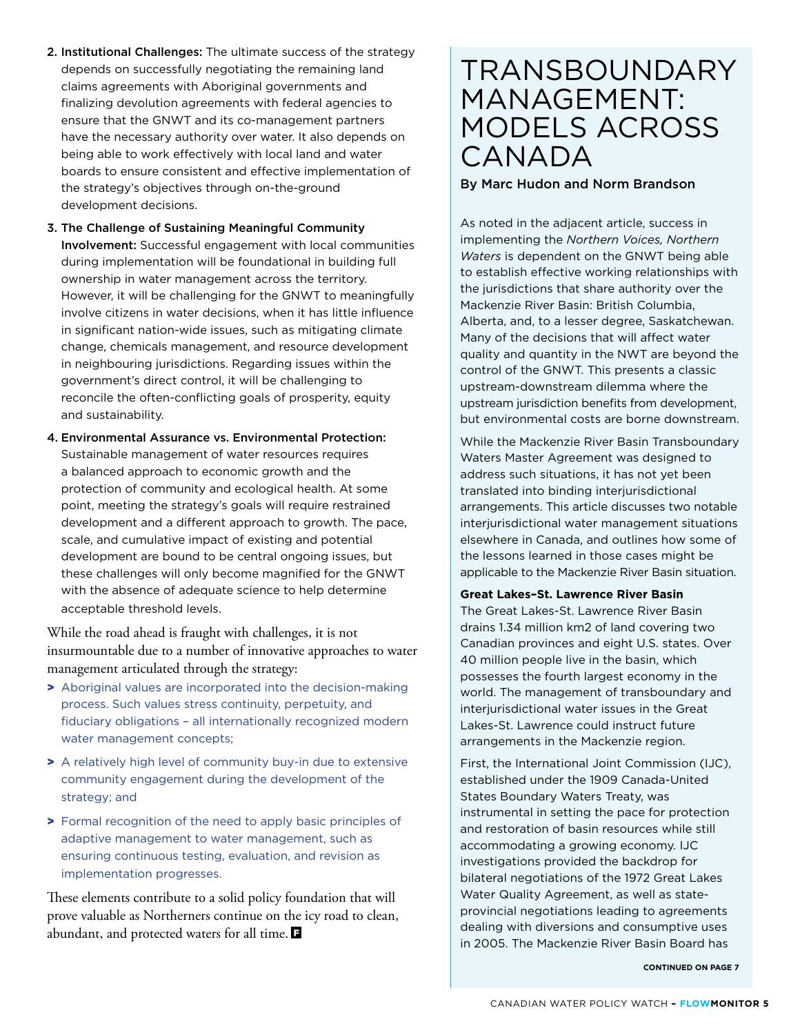- 2. Institutional Challenges: The ultimate success of the strategy depends on successfully negotiating the remaining land claims agreements with Aboriginal governments and finalizing devolution agreements with federal agencies to ensure that the GNWT and its co-management partners have the necessary authority over water. It also depends on being able to work effectively with local land and water boards to ensure consistent and effective implementation of the strategy's objectives through on-the-ground development decisions.
- 3. The Challenge of Sustaining Meaningful Community Involvement: Successful engagement with local communities during implementation will be foundational in building full ownership in water management across the territory. However, it will be challenging for the GNWT to meaningfully involve citizens in water decisions, when it has little influence in significant nation-wide issues, such as mitigating climate change, chemicals management, and resource development in neighbouring jurisdictions. Regarding issues within the government's direct control, it will be challenging to reconcile the often-conflicting goals of prosperity, equity and sustainability.
- 4. Environmental Assurance vs. Environmental Protection: Sustainable management of water resources requires a balanced approach to economic growth and the protection of community and ecological health. At some point, meeting the strategy's goals will require restrained development and a different approach to growth. The pace, scale, and cumulative impact of existing and potential development are bound to be central ongoing issues, but these challenges will only become magnified for the GNWT with the absence of adequate science to help determine acceptable threshold levels.

While the road ahead is fraught with challenges, it is not insurmountable due to a number of innovative approaches to water management articulated through the strategy:

- > Aboriginal values are incorporated into the decision-making process. Such values stress continuity, perpetuity, and fiduciary obligations – all internationally recognized modern water management concepts;
- > A relatively high level of community buy-in due to extensive community engagement during the development of the strategy; and
- > Formal recognition of the need to apply basic principles of adaptive management to water management, such as ensuring continuous testing, evaluation, and revision as implementation progresses.

These elements contribute to a solid policy foundation that will prove valuable as Northerners continue on the icy road to clean, abundant, and protected waters for all time.

## **TRANSBOUNDARY** Management: Models Across **CANADA**

#### By Marc Hudon and Norm Brandson

As noted in the adjacent article, success in implementing the *Northern Voices, Northern Waters* is dependent on the GNWT being able to establish effective working relationships with the jurisdictions that share authority over the Mackenzie River Basin: British Columbia, Alberta, and, to a lesser degree, Saskatchewan. Many of the decisions that will affect water quality and quantity in the NWT are beyond the control of the GNWT. This presents a classic upstream-downstream dilemma where the upstream jurisdiction benefits from development, but environmental costs are borne downstream.

While the Mackenzie River Basin Transboundary Waters Master Agreement was designed to address such situations, it has not yet been translated into binding interjurisdictional arrangements. This article discusses two notable interjurisdictional water management situations elsewhere in Canada, and outlines how some of the lessons learned in those cases might be applicable to the Mackenzie River Basin situation.

#### **Great Lakes–St. Lawrence River Basin**

The Great Lakes-St. Lawrence River Basin drains 1.34 million km2 of land covering two Canadian provinces and eight U.S. states. Over 40 million people live in the basin, which possesses the fourth largest economy in the world. The management of transboundary and interjurisdictional water issues in the Great Lakes-St. Lawrence could instruct future arrangements in the Mackenzie region.

First, the International Joint Commission (IJC), established under the 1909 Canada-United States Boundary Waters Treaty, was instrumental in setting the pace for protection and restoration of basin resources while still accommodating a growing economy. IJC investigations provided the backdrop for bilateral negotiations of the 1972 Great Lakes Water Quality Agreement, as well as stateprovincial negotiations leading to agreements dealing with diversions and consumptive uses in 2005. The Mackenzie River Basin Board has

**CONTINUED ON PAGE 7**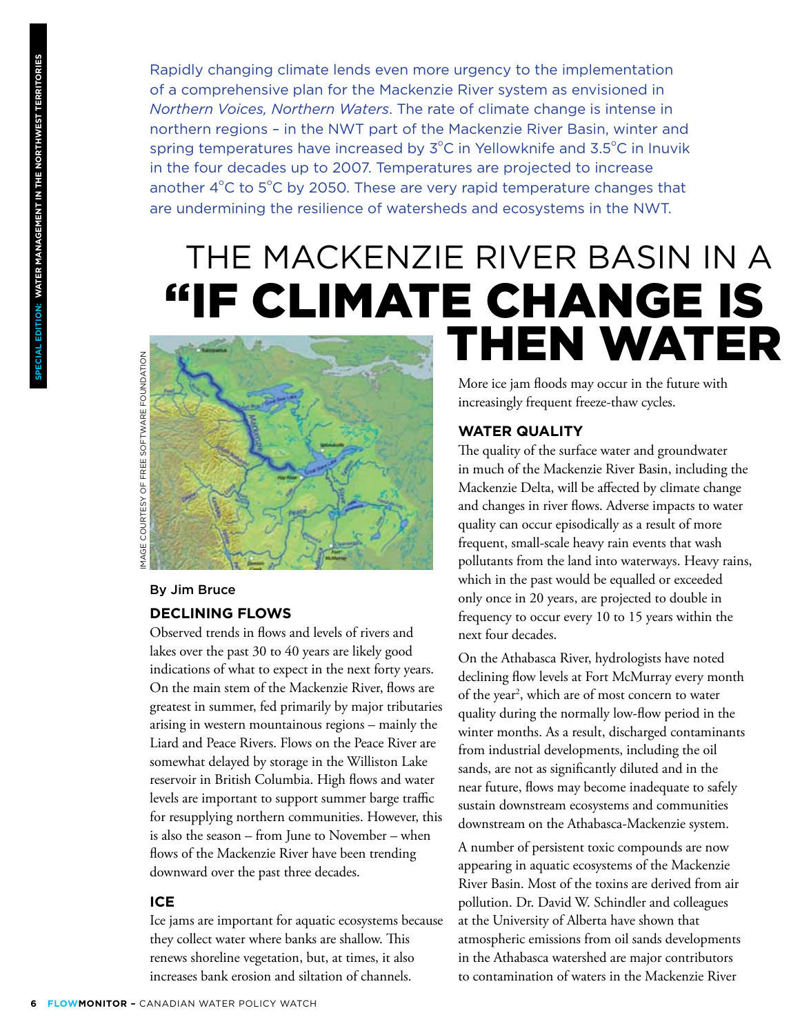Rapidly changing climate lends even more urgency to the implementation of a comprehensive plan for the Mackenzie River system as envisioned in *Northern Voices, Northern Waters*. The rate of climate change is intense in northern regions – in the NWT part of the Mackenzie River Basin, winter and spring temperatures have increased by  $3^{\circ}$ C in Yellowknife and  $3.5^{\circ}$ C in Inuvik in the four decades up to 2007. Temperatures are projected to increase another  $4^{\circ}$ C to  $5^{\circ}$ C by 2050. These are very rapid temperature changes that are undermining the resilience of watersheds and ecosystems in the NWT.

# THE MACKENZIE RIVER BASIN IN A



#### By Jim Bruce

#### **Declining Flows**

Observed trends in flows and levels of rivers and lakes over the past 30 to 40 years are likely good indications of what to expect in the next forty years. On the main stem of the Mackenzie River, flows are greatest in summer, fed primarily by major tributaries arising in western mountainous regions – mainly the Liard and Peace Rivers. Flows on the Peace River are somewhat delayed by storage in the Williston Lake reservoir in British Columbia. High flows and water levels are important to support summer barge traffic for resupplying northern communities. However, this is also the season – from June to November – when flows of the Mackenzie River have been trending downward over the past three decades.

#### **Ice**

Ice jams are important for aquatic ecosystems because they collect water where banks are shallow. This renews shoreline vegetation, but, at times, it also increases bank erosion and siltation of channels.

More ice jam floods may occur in the future with increasingly frequent freeze-thaw cycles.

#### **Water Quality**

The quality of the surface water and groundwater in much of the Mackenzie River Basin, including the Mackenzie Delta, will be affected by climate change and changes in river flows. Adverse impacts to water quality can occur episodically as a result of more frequent, small-scale heavy rain events that wash pollutants from the land into waterways. Heavy rains, which in the past would be equalled or exceeded only once in 20 years, are projected to double in frequency to occur every 10 to 15 years within the next four decades.

On the Athabasca River, hydrologists have noted declining flow levels at Fort McMurray every month of the year<sup>2</sup>, which are of most concern to water quality during the normally low-flow period in the winter months. As a result, discharged contaminants from industrial developments, including the oil sands, are not as significantly diluted and in the near future, flows may become inadequate to safely sustain downstream ecosystems and communities downstream on the Athabasca-Mackenzie system.

A number of persistent toxic compounds are now appearing in aquatic ecosystems of the Mackenzie River Basin. Most of the toxins are derived from air pollution. Dr. David W. Schindler and colleagues at the University of Alberta have shown that atmospheric emissions from oil sands developments in the Athabasca watershed are major contributors to contamination of waters in the Mackenzie River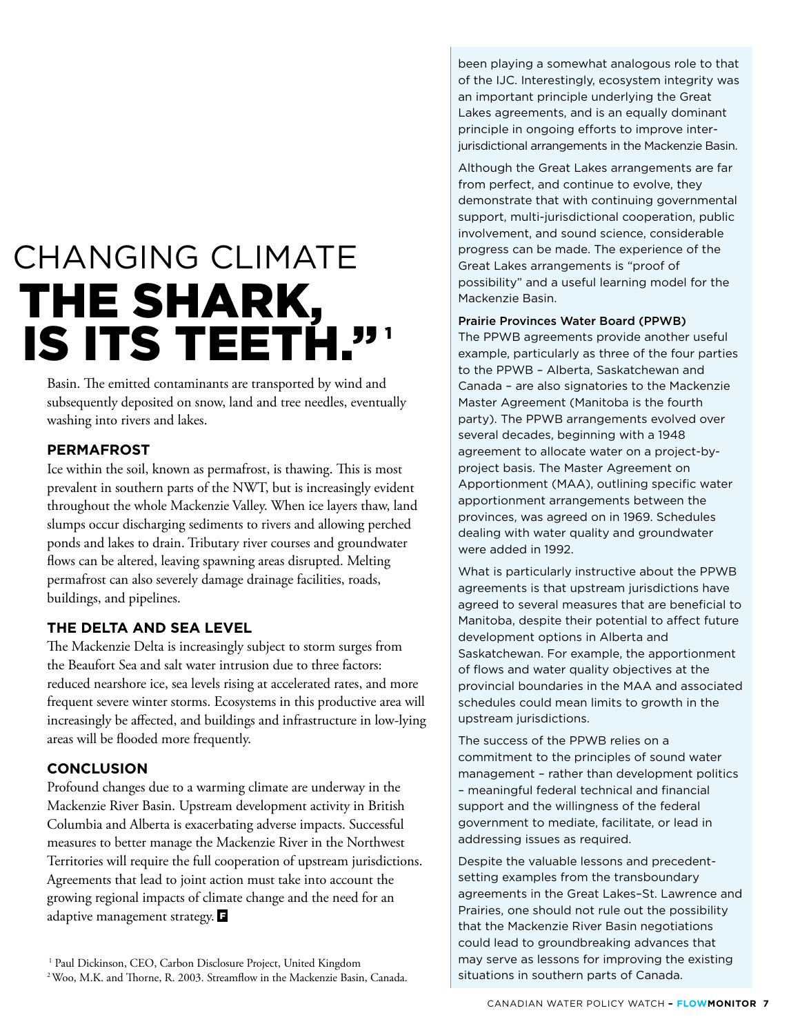# **CHANGING CLIMATE** THE SHARK,<br>IS ITS TEETH."

Basin. The emitted contaminants are transported by wind and subsequently deposited on snow, land and tree needles, eventually washing into rivers and lakes.

#### **Permafrost**

Ice within the soil, known as permafrost, is thawing. This is most prevalent in southern parts of the NWT, but is increasingly evident throughout the whole Mackenzie Valley. When ice layers thaw, land slumps occur discharging sediments to rivers and allowing perched ponds and lakes to drain. Tributary river courses and groundwater flows can be altered, leaving spawning areas disrupted. Melting permafrost can also severely damage drainage facilities, roads, buildings, and pipelines.

#### **The Delta and Sea Level**

The Mackenzie Delta is increasingly subject to storm surges from the Beaufort Sea and salt water intrusion due to three factors: reduced nearshore ice, sea levels rising at accelerated rates, and more frequent severe winter storms. Ecosystems in this productive area will increasingly be affected, and buildings and infrastructure in low-lying areas will be flooded more frequently.

#### **Conclusion**

Profound changes due to a warming climate are underway in the Mackenzie River Basin. Upstream development activity in British Columbia and Alberta is exacerbating adverse impacts. Successful measures to better manage the Mackenzie River in the Northwest Territories will require the full cooperation of upstream jurisdictions. Agreements that lead to joint action must take into account the growing regional impacts of climate change and the need for an adaptive management strategy. **F** 

<sup>1</sup> Paul Dickinson, CEO, Carbon Disclosure Project, United Kingdom 2 Woo, M.K. and Thorne, R. 2003. Streamflow in the Mackenzie Basin, Canada.

been playing a somewhat analogous role to that of the IJC. Interestingly, ecosystem integrity was an important principle underlying the Great Lakes agreements, and is an equally dominant principle in ongoing efforts to improve interjurisdictional arrangements in the Mackenzie Basin.

Although the Great Lakes arrangements are far from perfect, and continue to evolve, they demonstrate that with continuing governmental support, multi-jurisdictional cooperation, public involvement, and sound science, considerable progress can be made. The experience of the Great Lakes arrangements is "proof of possibility" and a useful learning model for the Mackenzie Basin.

Prairie Provinces Water Board (PPWB)

The PPWB agreements provide another useful example, particularly as three of the four parties to the PPWB – Alberta, Saskatchewan and Canada – are also signatories to the Mackenzie Master Agreement (Manitoba is the fourth party). The PPWB arrangements evolved over several decades, beginning with a 1948 agreement to allocate water on a project-byproject basis. The Master Agreement on Apportionment (MAA), outlining specific water apportionment arrangements between the provinces, was agreed on in 1969. Schedules dealing with water quality and groundwater were added in 1992.

What is particularly instructive about the PPWB agreements is that upstream jurisdictions have agreed to several measures that are beneficial to Manitoba, despite their potential to affect future development options in Alberta and Saskatchewan. For example, the apportionment of flows and water quality objectives at the provincial boundaries in the MAA and associated schedules could mean limits to growth in the upstream jurisdictions.

The success of the PPWB relies on a commitment to the principles of sound water management – rather than development politics – meaningful federal technical and financial support and the willingness of the federal government to mediate, facilitate, or lead in addressing issues as required.

Despite the valuable lessons and precedentsetting examples from the transboundary agreements in the Great Lakes–St. Lawrence and Prairies, one should not rule out the possibility that the Mackenzie River Basin negotiations could lead to groundbreaking advances that may serve as lessons for improving the existing situations in southern parts of Canada.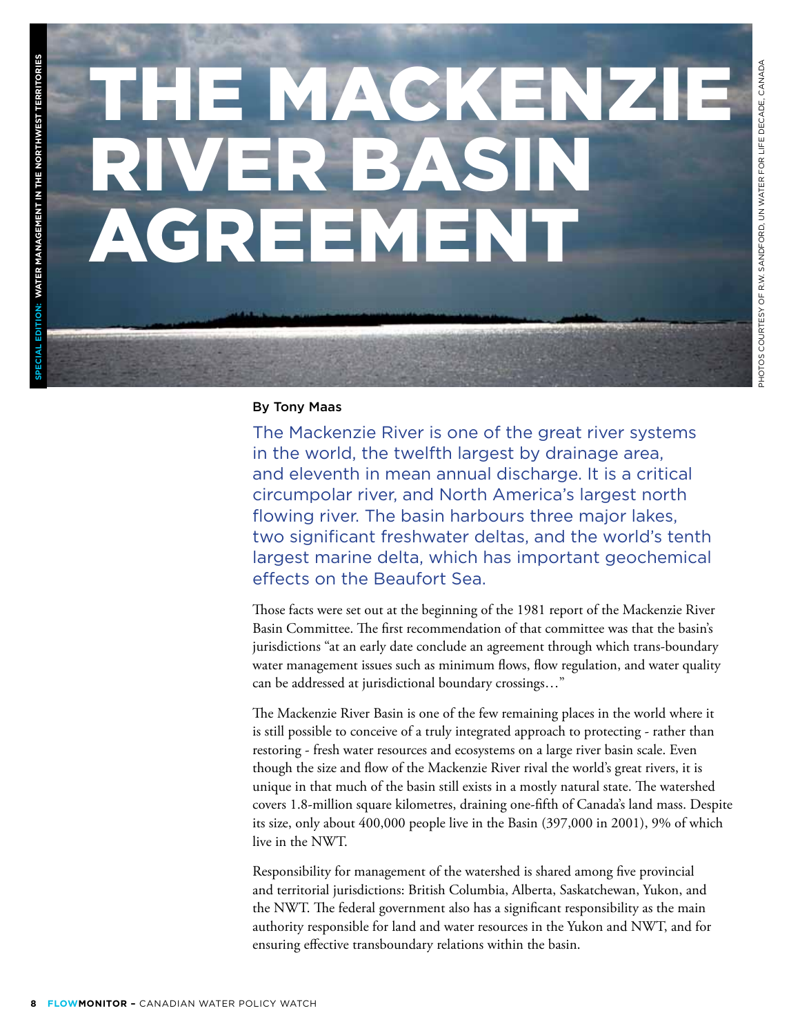# THE MACKENZI **BA** Agreement

#### By Tony Maas

The Mackenzie River is one of the great river systems in the world, the twelfth largest by drainage area, and eleventh in mean annual discharge. It is a critical circumpolar river, and North America's largest north flowing river. The basin harbours three major lakes, two significant freshwater deltas, and the world's tenth largest marine delta, which has important geochemical effects on the Beaufort Sea.

Those facts were set out at the beginning of the 1981 report of the Mackenzie River Basin Committee. The first recommendation of that committee was that the basin's jurisdictions "at an early date conclude an agreement through which trans-boundary water management issues such as minimum flows, flow regulation, and water quality can be addressed at jurisdictional boundary crossings…"

The Mackenzie River Basin is one of the few remaining places in the world where it is still possible to conceive of a truly integrated approach to protecting - rather than restoring - fresh water resources and ecosystems on a large river basin scale. Even though the size and flow of the Mackenzie River rival the world's great rivers, it is unique in that much of the basin still exists in a mostly natural state. The watershed covers 1.8-million square kilometres, draining one-fifth of Canada's land mass. Despite its size, only about 400,000 people live in the Basin (397,000 in 2001), 9% of which live in the NWT.

Responsibility for management of the watershed is shared among five provincial and territorial jurisdictions: British Columbia, Alberta, Saskatchewan, Yukon, and the NWT. The federal government also has a significant responsibility as the main authority responsible for land and water resources in the Yukon and NWT, and for ensuring effective transboundary relations within the basin.

 **SPECIAL EDITION:**

**Water Management in the Northwest Territories**

**CIAL EDITION: WATER MANAGEMENT IN THE NORTHWEST**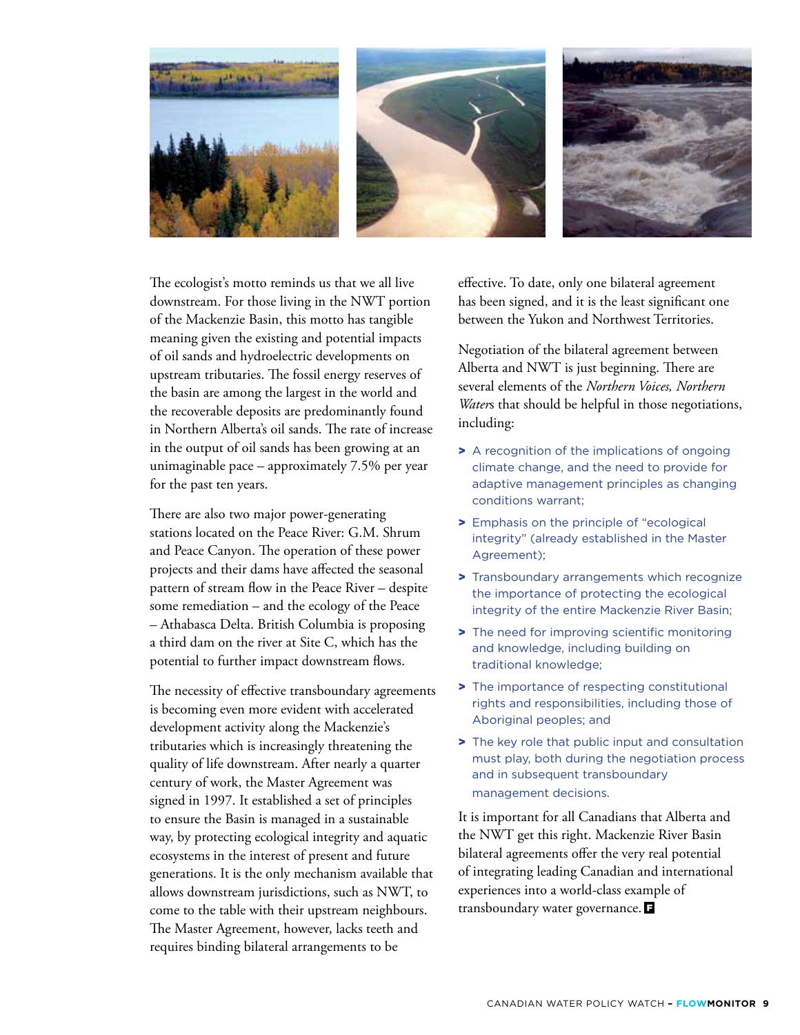

The ecologist's motto reminds us that we all live downstream. For those living in the NWT portion of the Mackenzie Basin, this motto has tangible meaning given the existing and potential impacts of oil sands and hydroelectric developments on upstream tributaries. The fossil energy reserves of the basin are among the largest in the world and the recoverable deposits are predominantly found in Northern Alberta's oil sands. The rate of increase in the output of oil sands has been growing at an unimaginable pace – approximately 7.5% per year for the past ten years.

There are also two major power-generating stations located on the Peace River: G.M. Shrum and Peace Canyon. The operation of these power projects and their dams have affected the seasonal pattern of stream flow in the Peace River – despite some remediation – and the ecology of the Peace – Athabasca Delta. British Columbia is proposing a third dam on the river at Site C, which has the potential to further impact downstream flows.

The necessity of effective transboundary agreements is becoming even more evident with accelerated development activity along the Mackenzie's tributaries which is increasingly threatening the quality of life downstream. After nearly a quarter century of work, the Master Agreement was signed in 1997. It established a set of principles to ensure the Basin is managed in a sustainable way, by protecting ecological integrity and aquatic ecosystems in the interest of present and future generations. It is the only mechanism available that allows downstream jurisdictions, such as NWT, to come to the table with their upstream neighbours. The Master Agreement, however, lacks teeth and requires binding bilateral arrangements to be

effective. To date, only one bilateral agreement has been signed, and it is the least significant one between the Yukon and Northwest Territories.

Negotiation of the bilateral agreement between Alberta and NWT is just beginning. There are several elements of the *Northern Voices, Northern Water*s that should be helpful in those negotiations, including:

- > A recognition of the implications of ongoing climate change, and the need to provide for adaptive management principles as changing conditions warrant;
- > Emphasis on the principle of "ecological integrity" (already established in the Master Agreement);
- > Transboundary arrangements which recognize the importance of protecting the ecological integrity of the entire Mackenzie River Basin;
- > The need for improving scientific monitoring and knowledge, including building on traditional knowledge;
- > The importance of respecting constitutional rights and responsibilities, including those of Aboriginal peoples; and
- > The key role that public input and consultation must play, both during the negotiation process and in subsequent transboundary management decisions.

It is important for all Canadians that Alberta and the NWT get this right. Mackenzie River Basin bilateral agreements offer the very real potential of integrating leading Canadian and international experiences into a world-class example of transboundary water governance.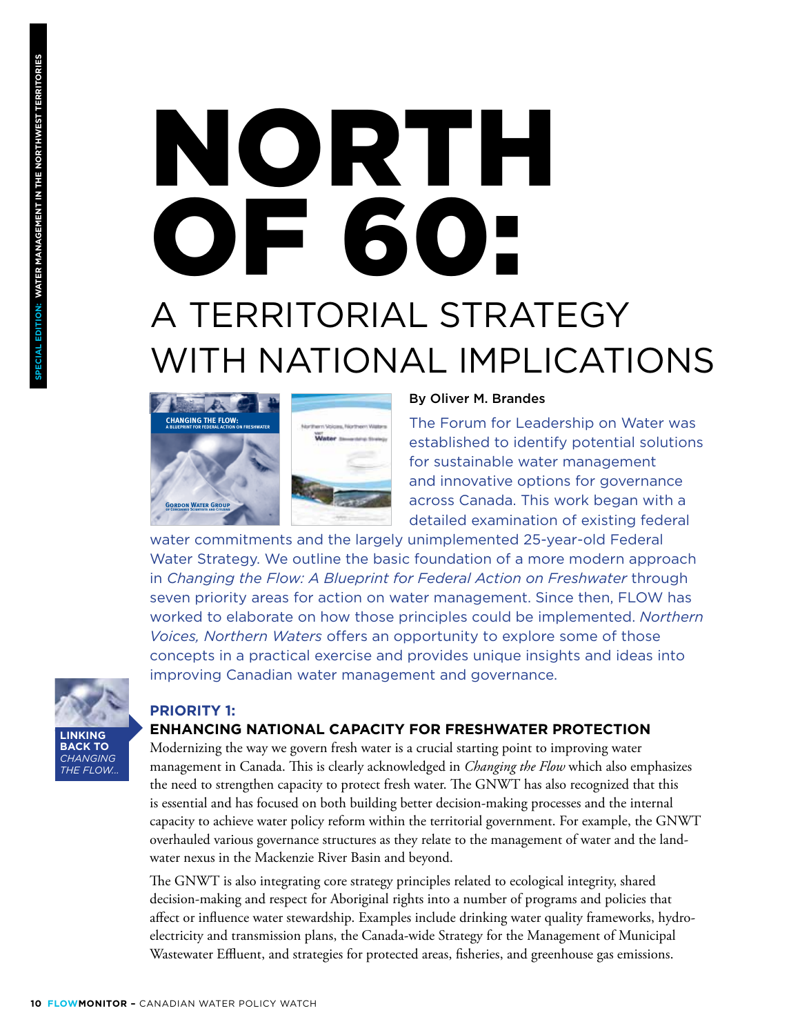# North of 60: A Territorial Strategy WITH NATIONAL IMPLICATIONS



#### By Oliver M. Brandes

The Forum for Leadership on Water was established to identify potential solutions for sustainable water management and innovative options for governance across Canada. This work began with a detailed examination of existing federal

water commitments and the largely unimplemented 25-year-old Federal Water Strategy. We outline the basic foundation of a more modern approach in *Changing the Flow: A Blueprint for Federal Action on Freshwater* through seven priority areas for action on water management. Since then, FLOW has worked to elaborate on how those principles could be implemented. *Northern Voices, Northern Waters* offers an opportunity to explore some of those concepts in a practical exercise and provides unique insights and ideas into improving Canadian water management and governance.

## **PRIORITY 1:**

**Linking back to** *Changing the Flow...* 

#### **Enhancing National Capacity for Freshwater Protection**

Modernizing the way we govern fresh water is a crucial starting point to improving water management in Canada. This is clearly acknowledged in *Changing the Flow* which also emphasizes the need to strengthen capacity to protect fresh water. The GNWT has also recognized that this is essential and has focused on both building better decision-making processes and the internal capacity to achieve water policy reform within the territorial government. For example, the GNWT overhauled various governance structures as they relate to the management of water and the landwater nexus in the Mackenzie River Basin and beyond.

The GNWT is also integrating core strategy principles related to ecological integrity, shared decision-making and respect for Aboriginal rights into a number of programs and policies that affect or influence water stewardship. Examples include drinking water quality frameworks, hydroelectricity and transmission plans, the Canada-wide Strategy for the Management of Municipal Wastewater Effluent, and strategies for protected areas, fisheries, and greenhouse gas emissions.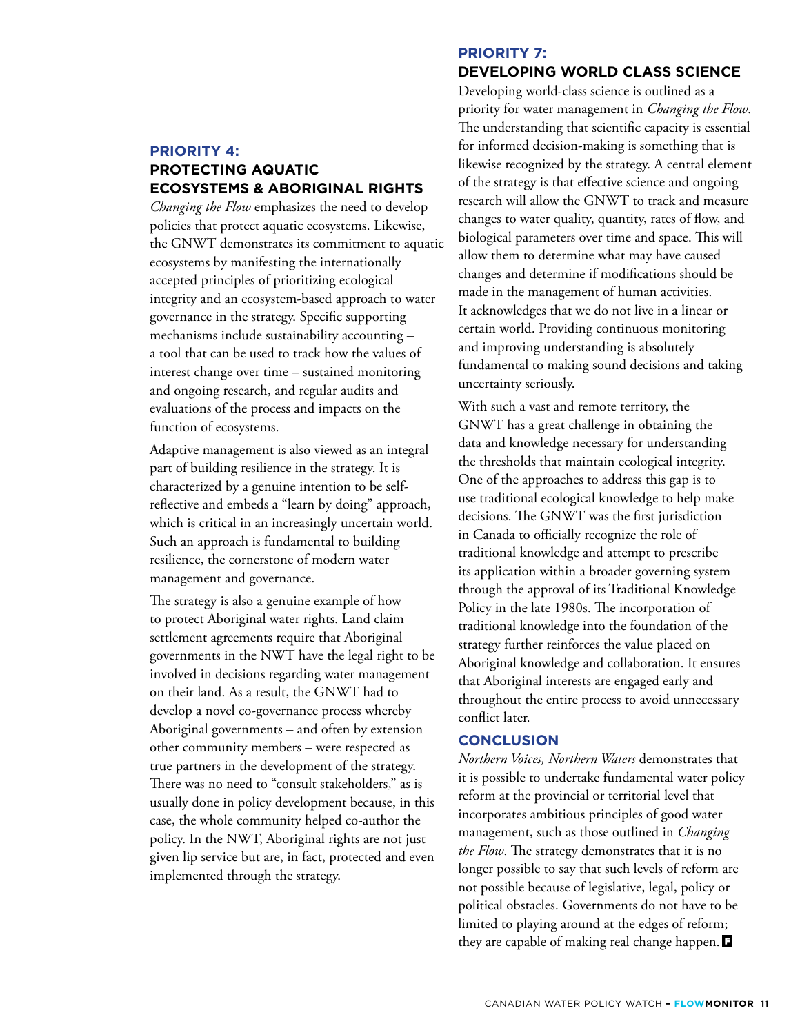#### **PRIORITY 4: Protecting Aquatic Ecosystems & Aboriginal Rights**

*Changing the Flow* emphasizes the need to develop policies that protect aquatic ecosystems. Likewise, the GNWT demonstrates its commitment to aquatic ecosystems by manifesting the internationally accepted principles of prioritizing ecological integrity and an ecosystem-based approach to water governance in the strategy. Specific supporting mechanisms include sustainability accounting – a tool that can be used to track how the values of interest change over time – sustained monitoring and ongoing research, and regular audits and evaluations of the process and impacts on the function of ecosystems.

Adaptive management is also viewed as an integral part of building resilience in the strategy. It is characterized by a genuine intention to be selfreflective and embeds a "learn by doing" approach, which is critical in an increasingly uncertain world. Such an approach is fundamental to building resilience, the cornerstone of modern water management and governance.

The strategy is also a genuine example of how to protect Aboriginal water rights. Land claim settlement agreements require that Aboriginal governments in the NWT have the legal right to be involved in decisions regarding water management on their land. As a result, the GNWT had to develop a novel co-governance process whereby Aboriginal governments – and often by extension other community members – were respected as true partners in the development of the strategy. There was no need to "consult stakeholders," as is usually done in policy development because, in this case, the whole community helped co-author the policy. In the NWT, Aboriginal rights are not just given lip service but are, in fact, protected and even implemented through the strategy.

#### **PRIORITY 7:**

#### **Developing World Class Science**

Developing world-class science is outlined as a priority for water management in *Changing the Flow*. The understanding that scientific capacity is essential for informed decision-making is something that is likewise recognized by the strategy. A central element of the strategy is that effective science and ongoing research will allow the GNWT to track and measure changes to water quality, quantity, rates of flow, and biological parameters over time and space. This will allow them to determine what may have caused changes and determine if modifications should be made in the management of human activities. It acknowledges that we do not live in a linear or certain world. Providing continuous monitoring and improving understanding is absolutely fundamental to making sound decisions and taking uncertainty seriously.

With such a vast and remote territory, the GNWT has a great challenge in obtaining the data and knowledge necessary for understanding the thresholds that maintain ecological integrity. One of the approaches to address this gap is to use traditional ecological knowledge to help make decisions. The GNWT was the first jurisdiction in Canada to officially recognize the role of traditional knowledge and attempt to prescribe its application within a broader governing system through the approval of its Traditional Knowledge Policy in the late 1980s. The incorporation of traditional knowledge into the foundation of the strategy further reinforces the value placed on Aboriginal knowledge and collaboration. It ensures that Aboriginal interests are engaged early and throughout the entire process to avoid unnecessary conflict later.

#### **Conclusion**

*Northern Voices, Northern Waters* demonstrates that it is possible to undertake fundamental water policy reform at the provincial or territorial level that incorporates ambitious principles of good water management, such as those outlined in *Changing the Flow*. The strategy demonstrates that it is no longer possible to say that such levels of reform are not possible because of legislative, legal, policy or political obstacles. Governments do not have to be limited to playing around at the edges of reform; they are capable of making real change happen.